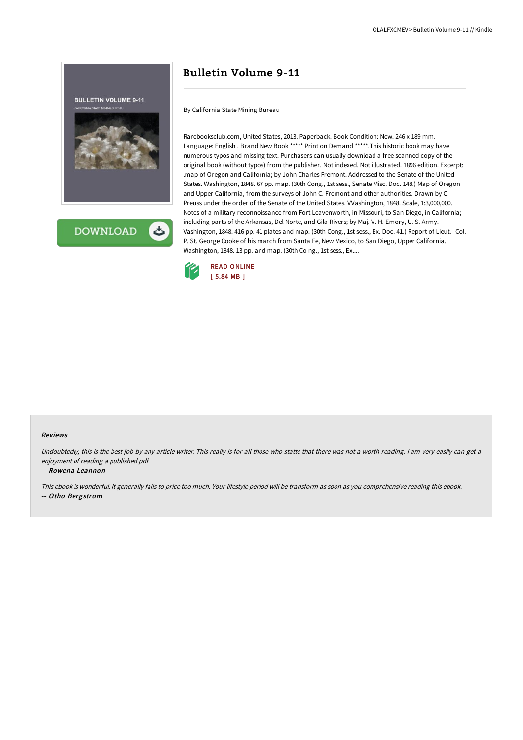

**DOWNLOAD** 

# Bulletin Volume 9-11

By California State Mining Bureau

Rarebooksclub.com, United States, 2013. Paperback. Book Condition: New. 246 x 189 mm. Language: English . Brand New Book \*\*\*\*\* Print on Demand \*\*\*\*\*.This historic book may have numerous typos and missing text. Purchasers can usually download a free scanned copy of the original book (without typos) from the publisher. Not indexed. Not illustrated. 1896 edition. Excerpt: .map of Oregon and California; by John Charles Fremont. Addressed to the Senate of the United States. Washington, 1848. 67 pp. map. (30th Cong., 1st sess., Senate Misc. Doc. 148.) Map of Oregon and Upper California, from the surveys of John C. Fremont and other authorities. Drawn by C. Preuss under the order of the Senate of the United States. VVashington, 1848. Scale, 1:3,000,000. Notes of a military reconnoissance from Fort Leavenworth, in Missouri, to San Diego, in California; including parts of the Arkansas, Del Norte, and Gila Rivers; by Maj. V. H. Emory, U. S. Army. Vashington, 1848. 416 pp. 41 plates and map. (30th Cong., 1st sess., Ex. Doc. 41.) Report of Lieut.--Col. P. St. George Cooke of his march from Santa Fe, New Mexico, to San Diego, Upper California. Washington, 1848. 13 pp. and map. (30th Co ng., 1st sess., Ex....



### Reviews

Undoubtedly, this is the best job by any article writer. This really is for all those who statte that there was not a worth reading. I am very easily can get a enjoyment of reading <sup>a</sup> published pdf.

### -- Rowena Leannon

This ebook is wonderful. It generally fails to price too much. Your lifestyle period will be transform as soon as you comprehensive reading this ebook. -- Otho Bergstrom